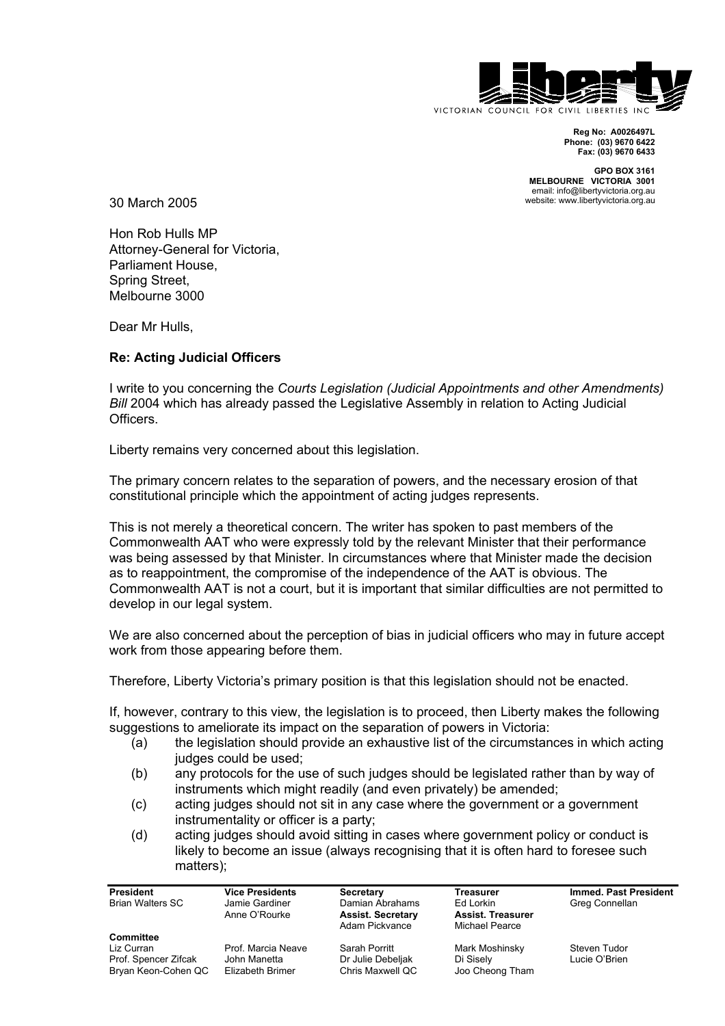

**Reg No: A0026497L Phone: (03) 9670 6422 Fax: (03) 9670 6433**

**GPO BOX 3161 MELBOURNE VICTORIA 3001** email: info@libertyvictoria.org.au website: www.libertyvictoria.org.au

30 March 2005

Hon Rob Hulls MP Attorney-General for Victoria, Parliament House, Spring Street, Melbourne 3000

Dear Mr Hulls,

## **Re: Acting Judicial Officers**

I write to you concerning the *Courts Legislation (Judicial Appointments and other Amendments) Bill* 2004 which has already passed the Legislative Assembly in relation to Acting Judicial Officers.

Liberty remains very concerned about this legislation.

The primary concern relates to the separation of powers, and the necessary erosion of that constitutional principle which the appointment of acting judges represents.

This is not merely a theoretical concern. The writer has spoken to past members of the Commonwealth AAT who were expressly told by the relevant Minister that their performance was being assessed by that Minister. In circumstances where that Minister made the decision as to reappointment, the compromise of the independence of the AAT is obvious. The Commonwealth AAT is not a court, but it is important that similar difficulties are not permitted to develop in our legal system.

We are also concerned about the perception of bias in judicial officers who may in future accept work from those appearing before them.

Therefore, Liberty Victoria's primary position is that this legislation should not be enacted.

If, however, contrary to this view, the legislation is to proceed, then Liberty makes the following suggestions to ameliorate its impact on the separation of powers in Victoria:

- (a) the legislation should provide an exhaustive list of the circumstances in which acting judges could be used;
- (b) any protocols for the use of such judges should be legislated rather than by way of instruments which might readily (and even privately) be amended;
- (c) acting judges should not sit in any case where the government or a government instrumentality or officer is a party;
- (d) acting judges should avoid sitting in cases where government policy or conduct is likely to become an issue (always recognising that it is often hard to foresee such matters);

| <b>President</b>        | <b>Vice Presidents</b> | Secretary                | Treasurer                | <b>Immed. Past President</b> |
|-------------------------|------------------------|--------------------------|--------------------------|------------------------------|
| <b>Brian Walters SC</b> | Jamie Gardiner         | Damian Abrahams          | Ed Lorkin                | Greg Connellan               |
|                         | Anne O'Rourke          | <b>Assist. Secretary</b> | <b>Assist. Treasurer</b> |                              |
|                         |                        | Adam Pickvance           | Michael Pearce           |                              |
| <b>Committee</b>        |                        |                          |                          |                              |
| Liz Curran              | Prof. Marcia Neave     | Sarah Porritt            | Mark Moshinsky           | Steven Tudor                 |
| Prof. Spencer Zifcak    | John Manetta           | Dr Julie Debeljak        | Di Sisely                | Lucie O'Brien                |
| Bryan Keon-Cohen QC     | Elizabeth Brimer       | Chris Maxwell QC         | Joo Cheong Tham          |                              |